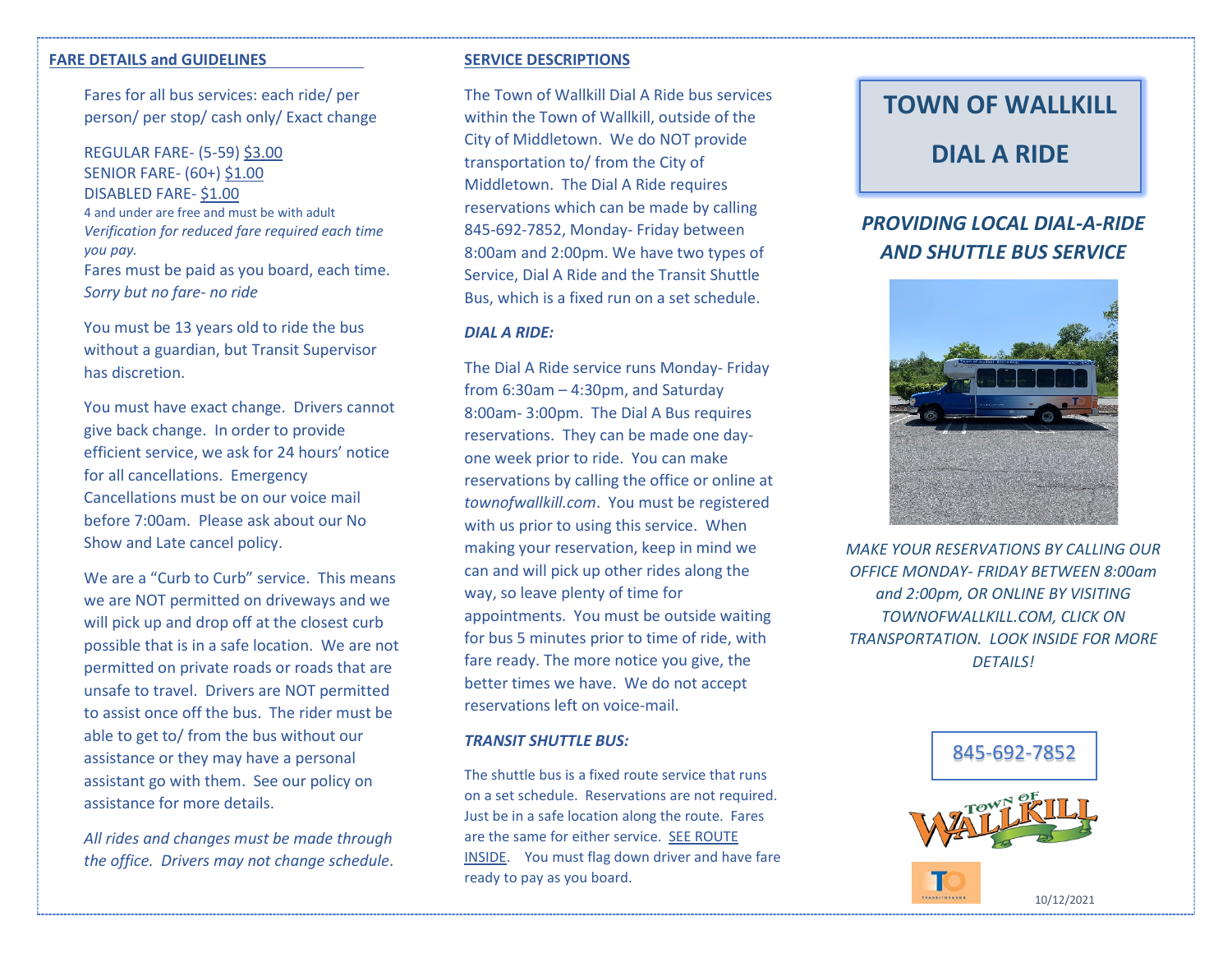### **FARE DETAILS and GUIDELINES**

Fares for all bus services: each ride/ per person/ per stop/ cash only/ Exact change

REGULAR FARE- (5-59) \$3.00 SENIOR FARE- (60+) \$1.00 DISABLED FARE- \$1.00 4 and under are free and must be with adult *Verification for reduced fare required each time you pay.* Fares must be paid as you board, each time. *Sorry but no fare- no ride*

You must be 13 years old to ride the bus without a guardian, but Transit Supervisor has discretion.

You must have exact change. Drivers cannot give back change. In order to provide efficient service, we ask for 24 hours' notice for all cancellations. Emergency Cancellations must be on our voice mail before 7:00am. Please ask about our No Show and Late cancel policy.

We are a "Curb to Curb" service. This means we are NOT permitted on driveways and we will pick up and drop off at the closest curb possible that is in a safe location. We are not permitted on private roads or roads that are unsafe to travel. Drivers are NOT permitted to assist once off the bus. The rider must be able to get to/ from the bus without our assistance or they may have a personal assistant go with them. See our policy on assistance for more details.

*All rides and changes must be made through the office. Drivers may not change schedule*.

### **SERVICE DESCRIPTIONS**

The Town of Wallkill Dial A Ride bus services within the Town of Wallkill, outside of the City of Middletown. We do NOT provide transportation to/ from the City of Middletown. The Dial A Ride requires reservations which can be made by calling 845-692-7852, Monday- Friday between 8:00am and 2:00pm. We have two types of Service, Dial A Ride and the Transit Shuttle Bus, which is a fixed run on a set schedule.

### *DIAL A RIDE:*

The Dial A Ride service runs Monday- Friday from 6:30am – 4:30pm, and Saturday 8:00am- 3:00pm. The Dial A Bus requires reservations. They can be made one dayone week prior to ride. You can make reservations by calling the office or online at *townofwallkill.com*. You must be registered with us prior to using this service. When making your reservation, keep in mind we can and will pick up other rides along the way, so leave plenty of time for appointments. You must be outside waiting for bus 5 minutes prior to time of ride, with fare ready. The more notice you give, the better times we have. We do not accept reservations left on voice-mail.

#### *TRANSIT SHUTTLE BUS:*

The shuttle bus is a fixed route service that runs on a set schedule. Reservations are not required. Just be in a safe location along the route. Fares are the same for either service. SEE ROUTE INSIDE. You must flag down driver and have fare ready to pay as you board.

# **TOWN OF WALLKILL**

### **DIAL A RIDE**

## *PROVIDING LOCAL DIAL-A-RIDE AND SHUTTLE BUS SERVICE*



*MAKE YOUR RESERVATIONS BY CALLING OUR OFFICE MONDAY- FRIDAY BETWEEN 8:00am and 2:00pm, OR ONLINE BY VISITING TOWNOFWALLKILL.COM, CLICK ON TRANSPORTATION. LOOK INSIDE FOR MORE DETAILS!*